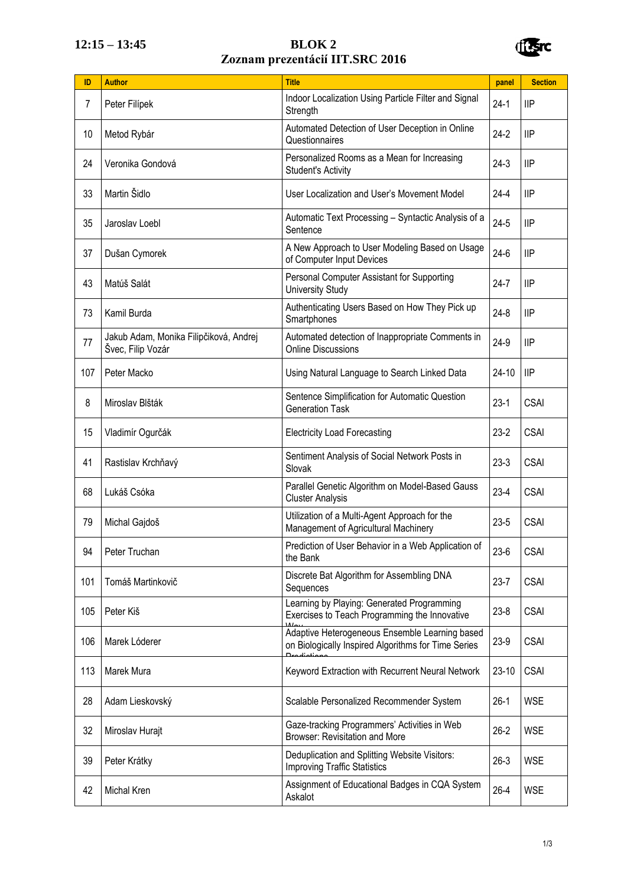## **12:15 – 13:45 BLOK 2 Zoznam prezentácií IIT.SRC 2016**



| ID  | <b>Author</b>                                               | <b>Title</b>                                                                                          | panel     | <b>Section</b> |
|-----|-------------------------------------------------------------|-------------------------------------------------------------------------------------------------------|-----------|----------------|
| 7   | Peter Filípek                                               | Indoor Localization Using Particle Filter and Signal<br>Strength                                      |           | IIP            |
| 10  | Metod Rybár                                                 | Automated Detection of User Deception in Online<br>Questionnaires                                     |           | IIP            |
| 24  | Veronika Gondová                                            | Personalized Rooms as a Mean for Increasing<br><b>Student's Activity</b>                              | $24-3$    | IIP            |
| 33  | Martin Šidlo                                                | User Localization and User's Movement Model                                                           | 24-4      | IIP            |
| 35  | Jaroslav Loebl                                              | Automatic Text Processing - Syntactic Analysis of a<br>Sentence                                       | $24 - 5$  | IIP            |
| 37  | Dušan Cymorek                                               | A New Approach to User Modeling Based on Usage<br>of Computer Input Devices                           | $24-6$    | IIP            |
| 43  | Matúš Salát                                                 | Personal Computer Assistant for Supporting<br><b>University Study</b>                                 | $24 - 7$  | <b>IIP</b>     |
| 73  | Kamil Burda                                                 | Authenticating Users Based on How They Pick up<br>Smartphones                                         | $24 - 8$  | IIP            |
| 77  | Jakub Adam, Monika Filipčiková, Andrej<br>Švec, Filip Vozár | Automated detection of Inappropriate Comments in<br><b>Online Discussions</b>                         | 24-9      | IIP            |
| 107 | Peter Macko                                                 | Using Natural Language to Search Linked Data                                                          | 24-10     | IIP            |
| 8   | Miroslav Blšták                                             | Sentence Simplification for Automatic Question<br><b>Generation Task</b>                              | $23-1$    | <b>CSAI</b>    |
| 15  | Vladimír Ogurčák                                            | <b>Electricity Load Forecasting</b>                                                                   | $23 - 2$  | <b>CSAI</b>    |
| 41  | Rastislav Krchňavý                                          | Sentiment Analysis of Social Network Posts in<br>Slovak                                               | $23-3$    | <b>CSAI</b>    |
| 68  | Lukáš Csóka                                                 | Parallel Genetic Algorithm on Model-Based Gauss<br><b>Cluster Analysis</b>                            | $23 - 4$  | <b>CSAI</b>    |
| 79  | Michal Gajdoš                                               | Utilization of a Multi-Agent Approach for the<br>Management of Agricultural Machinery                 | $23 - 5$  | <b>CSAI</b>    |
| 94  | Peter Truchan                                               | Prediction of User Behavior in a Web Application of<br>the Bank                                       | 23-6      | <b>CSAI</b>    |
| 101 | Tomáš Martinkovič                                           | Discrete Bat Algorithm for Assembling DNA<br>Sequences                                                | $23 - 7$  | <b>CSAI</b>    |
| 105 | Peter Kiš                                                   | Learning by Playing: Generated Programming<br>Exercises to Teach Programming the Innovative           | $23 - 8$  | <b>CSAI</b>    |
| 106 | Marek Lóderer                                               | Adaptive Heterogeneous Ensemble Learning based<br>on Biologically Inspired Algorithms for Time Series | 23-9      | <b>CSAI</b>    |
| 113 | Marek Mura                                                  | Keyword Extraction with Recurrent Neural Network                                                      | $23 - 10$ | <b>CSAI</b>    |
| 28  | Adam Lieskovský                                             | Scalable Personalized Recommender System                                                              | $26-1$    | <b>WSE</b>     |
| 32  | Miroslav Hurajt                                             | Gaze-tracking Programmers' Activities in Web<br><b>Browser: Revisitation and More</b>                 | $26 - 2$  | <b>WSE</b>     |
| 39  | Peter Krátky                                                | Deduplication and Splitting Website Visitors:<br><b>Improving Traffic Statistics</b>                  | $26-3$    | <b>WSE</b>     |
| 42  | Michal Kren                                                 | Assignment of Educational Badges in CQA System<br>Askalot                                             | $26 - 4$  | <b>WSE</b>     |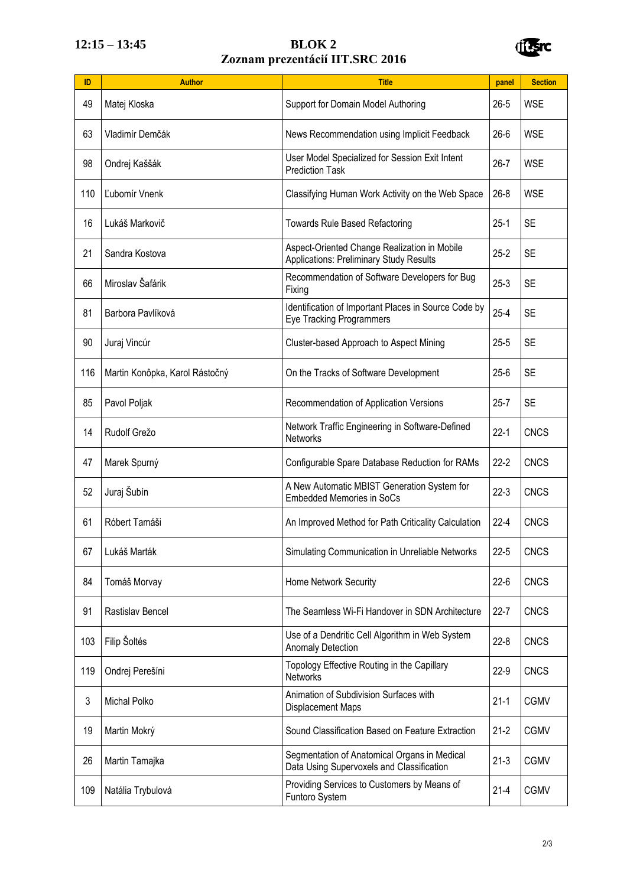## **12:15 – 13:45 BLOK 2 Zoznam prezentácií IIT.SRC 2016**



| ID  | <b>Author</b>                  | <b>Title</b>                                                                                   |          | <b>Section</b> |
|-----|--------------------------------|------------------------------------------------------------------------------------------------|----------|----------------|
| 49  | Matej Kloska                   | Support for Domain Model Authoring                                                             |          | <b>WSE</b>     |
| 63  | Vladimír Demčák                | News Recommendation using Implicit Feedback                                                    | $26 - 6$ | <b>WSE</b>     |
| 98  | Ondrej Kaššák                  | User Model Specialized for Session Exit Intent<br><b>Prediction Task</b>                       | $26 - 7$ | <b>WSE</b>     |
| 110 | L'ubomír Vnenk                 | Classifying Human Work Activity on the Web Space                                               | $26 - 8$ | <b>WSE</b>     |
| 16  | Lukáš Markovič                 | <b>Towards Rule Based Refactoring</b>                                                          | $25-1$   | <b>SE</b>      |
| 21  | Sandra Kostova                 | Aspect-Oriented Change Realization in Mobile<br><b>Applications: Preliminary Study Results</b> | $25 - 2$ | <b>SE</b>      |
| 66  | Miroslav Šafárik               | Recommendation of Software Developers for Bug<br>Fixing                                        | $25-3$   | <b>SE</b>      |
| 81  | Barbora Pavlíková              | Identification of Important Places in Source Code by<br><b>Eye Tracking Programmers</b>        | $25 - 4$ | <b>SE</b>      |
| 90  | Juraj Vincúr                   | Cluster-based Approach to Aspect Mining                                                        | $25 - 5$ | <b>SE</b>      |
| 116 | Martin Konôpka, Karol Rástočný | On the Tracks of Software Development                                                          | $25-6$   | <b>SE</b>      |
| 85  | Pavol Poljak                   | Recommendation of Application Versions                                                         | $25 - 7$ | <b>SE</b>      |
| 14  | Rudolf Grežo                   | Network Traffic Engineering in Software-Defined<br><b>Networks</b>                             | $22 - 1$ | <b>CNCS</b>    |
| 47  | Marek Spurný                   | Configurable Spare Database Reduction for RAMs                                                 | $22 - 2$ | <b>CNCS</b>    |
| 52  | Juraj Šubín                    | A New Automatic MBIST Generation System for<br><b>Embedded Memories in SoCs</b>                | $22-3$   | <b>CNCS</b>    |
| 61  | Róbert Tamáši                  | An Improved Method for Path Criticality Calculation                                            | $22 - 4$ | <b>CNCS</b>    |
| 67  | Lukáš Marták                   | Simulating Communication in Unreliable Networks                                                | $22 - 5$ | <b>CNCS</b>    |
| 84  | Tomáš Morvay                   | Home Network Security                                                                          | $22-6$   | <b>CNCS</b>    |
| 91  | Rastislav Bencel               | The Seamless Wi-Fi Handover in SDN Architecture                                                | $22 - 7$ | <b>CNCS</b>    |
| 103 | Filip Šoltés                   | Use of a Dendritic Cell Algorithm in Web System<br><b>Anomaly Detection</b>                    | $22 - 8$ | <b>CNCS</b>    |
| 119 | Ondrej Perešíni                | Topology Effective Routing in the Capillary<br><b>Networks</b>                                 | $22-9$   | <b>CNCS</b>    |
| 3   | Michal Polko                   | Animation of Subdivision Surfaces with<br><b>Displacement Maps</b>                             | $21 - 1$ | <b>CGMV</b>    |
| 19  | Martin Mokrý                   | Sound Classification Based on Feature Extraction                                               | $21 - 2$ | <b>CGMV</b>    |
| 26  | Martin Tamajka                 | Segmentation of Anatomical Organs in Medical<br>Data Using Supervoxels and Classification      | $21-3$   | <b>CGMV</b>    |
| 109 | Natália Trybulová              | Providing Services to Customers by Means of<br>Funtoro System                                  | $21 - 4$ | <b>CGMV</b>    |